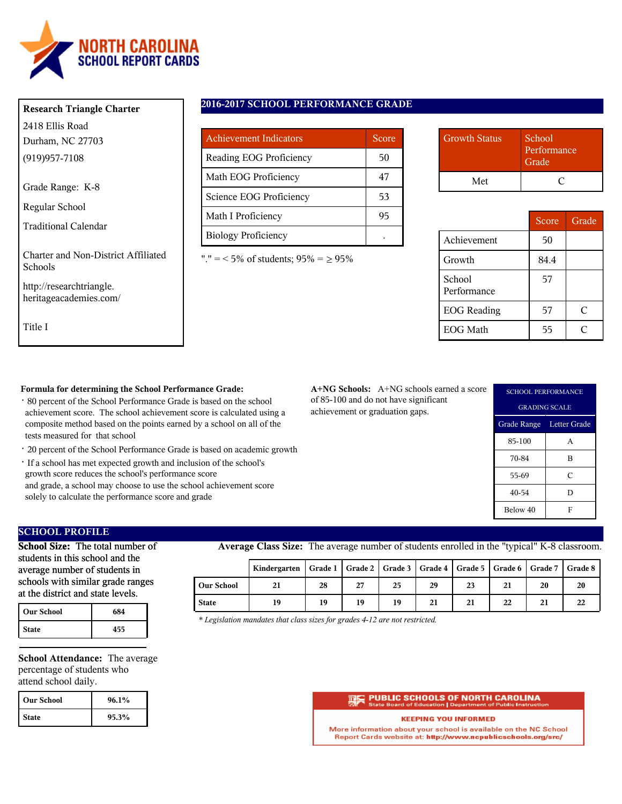

### **Research Triangle Charter**

2418 Ellis Road Durham, NC 27703 (919)957-7108

Grade Range: K-8

Regular School

Traditional Calendar

Charter and Non-District Affiliated Schools

http://researchtriangle. heritageacademies.com/

Title I

# **2016-2017 SCHOOL PERFORMANCE GRADE**

| <b>Achievement Indicators</b> | Score |
|-------------------------------|-------|
| Reading EOG Proficiency       | 50    |
| Math EOG Proficiency          | 47    |
| Science EOG Proficiency       | 53    |
| Math I Proficiency            | 95    |
| <b>Biology Proficiency</b>    |       |

"." = < 5% of students;  $95\% = \ge 95\%$ 

| <b>Growth Status</b> | School<br>Performance<br>Grade <sup>'</sup> |  |
|----------------------|---------------------------------------------|--|
| Met                  |                                             |  |

|                       | Score | Grade |
|-----------------------|-------|-------|
| Achievement           | 50    |       |
| Growth                | 84.4  |       |
| School<br>Performance | 57    |       |
| <b>EOG</b> Reading    | 57    | C     |
| <b>EOG</b> Math       | 55    |       |

### **Formula for determining the School Performance Grade:**

- · 80 percent of the School Performance Grade is based on the school achievement score. The school achievement score is calculated using a composite method based on the points earned by a school on all of the tests measured for that school
- · 20 percent of the School Performance Grade is based on academic growth
- · If a school has met expected growth and inclusion of the school's growth score reduces the school's performance score and grade, a school may choose to use the school achievement score solely to calculate the performance score and grade

**A+NG Schools:** A+NG schools earned a score of 85-100 and do not have significant achievement or graduation gaps.

| <b>SCHOOL PERFORMANCE</b> |   |  |  |
|---------------------------|---|--|--|
| <b>GRADING SCALE</b>      |   |  |  |
| Grade Range Letter Grade  |   |  |  |
| 85-100                    | A |  |  |
| 70-84                     | B |  |  |
| 55-69                     | C |  |  |
| 40-54                     | D |  |  |
| Below 40                  | F |  |  |

# **SCHOOL PROFILE**

**School Size:** The total number of students in this school and the average number of students in schools with similar grade ranges at the district and state levels.

| <b>Our School</b> | 684 |
|-------------------|-----|
| <b>State</b>      | 455 |

**School Attendance:** The average percentage of students who attend school daily.

| l Our School | 96.1% |
|--------------|-------|
| <b>State</b> | 95.3% |

**Average Class Size:** The average number of students enrolled in the "typical" K-8 classroom.

|                   | Kindergarten   Grade 1   Grade 2   Grade 3   Grade 4   Grade 5   Grade 6   Grade 7   Grade 8 |    |    |    |    |    |    |    |    |
|-------------------|----------------------------------------------------------------------------------------------|----|----|----|----|----|----|----|----|
| <b>Our School</b> | 21                                                                                           | 28 | 27 | 25 | 29 | 23 | 21 | 20 | 20 |
| <b>State</b>      | 19                                                                                           | 19 | 19 | 19 | 21 | 21 | 22 | 21 | 22 |

*\* Legislation mandates that class sizes for grades 4-12 are not restricted.*

#### **PUBLIC SCHOOLS OF NORTH CAROLINA** on | Depart

#### **KEEPING YOU INFORMED**

More information about your school is available on the NC School Report Cards website at: http://www.ncpublicschools.org/src/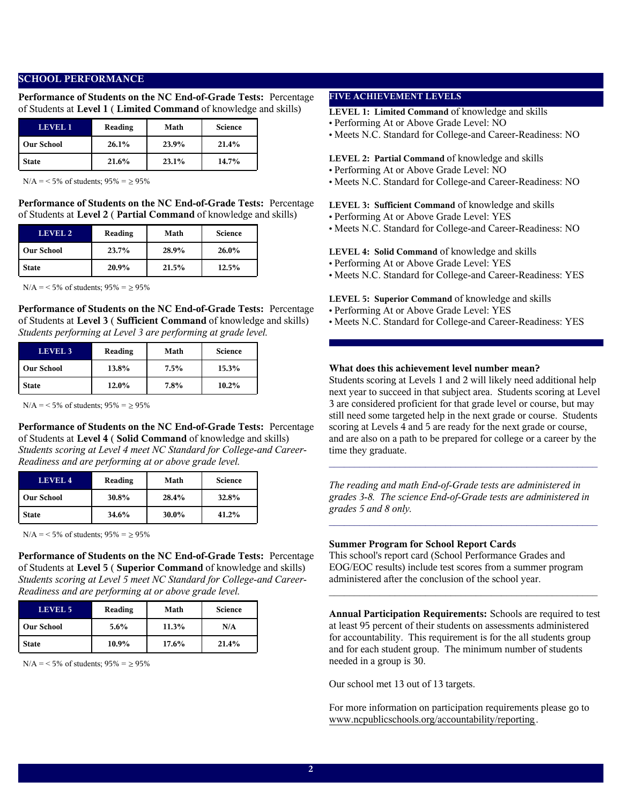### **SCHOOL PERFORMANCE**

**Performance of Students on the NC End-of-Grade Tests:** Percentage of Students at **Level 1** ( **Limited Command** of knowledge and skills)

| LEVEL 1           | Reading | Math  | <b>Science</b> |
|-------------------|---------|-------|----------------|
| <b>Our School</b> | 26.1%   | 23.9% | 21.4%          |
| <b>State</b>      | 21.6%   | 23.1% | 14.7%          |

 $N/A = 5\%$  of students;  $95\% = \ge 95\%$ 

**Performance of Students on the NC End-of-Grade Tests:** Percentage of Students at **Level 2** ( **Partial Command** of knowledge and skills)

| LEVEL 2           | Reading | Math  | <b>Science</b> |
|-------------------|---------|-------|----------------|
| <b>Our School</b> | 23.7%   | 28.9% | $26.0\%$       |
| <b>State</b>      | 20.9%   | 21.5% | 12.5%          |

 $N/A = 5\%$  of students;  $95\% = \ge 95\%$ 

**Performance of Students on the NC End-of-Grade Tests:** Percentage of Students at **Level 3** ( **Sufficient Command** of knowledge and skills) *Students performing at Level 3 are performing at grade level.*

| <b>LEVEL 3</b>    | Reading | Math | <b>Science</b> |
|-------------------|---------|------|----------------|
| <b>Our School</b> | 13.8%   | 7.5% | 15.3%          |
| <b>State</b>      | 12.0%   | 7.8% | $10.2\%$       |

 $N/A = 5\%$  of students;  $95\% = 95\%$ 

**Performance of Students on the NC End-of-Grade Tests:** Percentage of Students at **Level 4** ( **Solid Command** of knowledge and skills) *Students scoring at Level 4 meet NC Standard for College-and Career-Readiness and are performing at or above grade level.*

| LEVEL <sub>4</sub> | Reading | Math  | <b>Science</b> |
|--------------------|---------|-------|----------------|
| <b>Our School</b>  | 30.8%   | 28.4% | 32.8%          |
| <b>State</b>       | 34.6%   | 30.0% | 41.2%          |

 $N/A = 5\%$  of students;  $95\% = \ge 95\%$ 

**Performance of Students on the NC End-of-Grade Tests:** Percentage of Students at **Level 5** ( **Superior Command** of knowledge and skills) *Students scoring at Level 5 meet NC Standard for College-and Career-Readiness and are performing at or above grade level.*

| LEVEL 5           | Reading | Math     | <b>Science</b> |
|-------------------|---------|----------|----------------|
| <b>Our School</b> | $5.6\%$ | 11.3%    | N/A            |
| <b>State</b>      | 10.9%   | $17.6\%$ | 21.4%          |

 $N/A = 5\%$  of students;  $95\% = \ge 95\%$ 

### **FIVE ACHIEVEMENT LEVELS**

**LEVEL 1: Limited Command** of knowledge and skills

- Performing At or Above Grade Level: NO
- Meets N.C. Standard for College-and Career-Readiness: NO

#### **LEVEL 2: Partial Command** of knowledge and skills

- Performing At or Above Grade Level: NO
- Meets N.C. Standard for College-and Career-Readiness: NO

**LEVEL 3: Sufficient Command** of knowledge and skills

- Performing At or Above Grade Level: YES
- Meets N.C. Standard for College-and Career-Readiness: NO

### **LEVEL 4: Solid Command** of knowledge and skills

- Performing At or Above Grade Level: YES
- Meets N.C. Standard for College-and Career-Readiness: YES
- **LEVEL 5: Superior Command** of knowledge and skills
- Performing At or Above Grade Level: YES
- Meets N.C. Standard for College-and Career-Readiness: YES

### **What does this achievement level number mean?**

Students scoring at Levels 1 and 2 will likely need additional help next year to succeed in that subject area. Students scoring at Level 3 are considered proficient for that grade level or course, but may still need some targeted help in the next grade or course. Students scoring at Levels 4 and 5 are ready for the next grade or course, and are also on a path to be prepared for college or a career by the time they graduate.

*The reading and math End-of-Grade tests are administered in grades 3-8. The science End-of-Grade tests are administered in grades 5 and 8 only.*

 $\mathcal{L}_\text{max}$  and  $\mathcal{L}_\text{max}$  and  $\mathcal{L}_\text{max}$  and  $\mathcal{L}_\text{max}$  and  $\mathcal{L}_\text{max}$ 

 $\mathcal{L}_\text{max}$  and the contract of the contract of the contract of the contract of the contract of the contract of the contract of the contract of the contract of the contract of the contract of the contract of the contrac

#### **Summer Program for School Report Cards**

This school's report card (School Performance Grades and EOG/EOC results) include test scores from a summer program administered after the conclusion of the school year.

**Annual Participation Requirements:** Schools are required to test at least 95 percent of their students on assessments administered for accountability. This requirement is for the all students group and for each student group. The minimum number of students needed in a group is 30.

 $\mathcal{L}_\text{max}$  and  $\mathcal{L}_\text{max}$  and  $\mathcal{L}_\text{max}$  and  $\mathcal{L}_\text{max}$  and  $\mathcal{L}_\text{max}$ 

Our school met 13 out of 13 targets.

For more information on participation requirements please go to www.ncpublicschools.org/accountability/reporting.